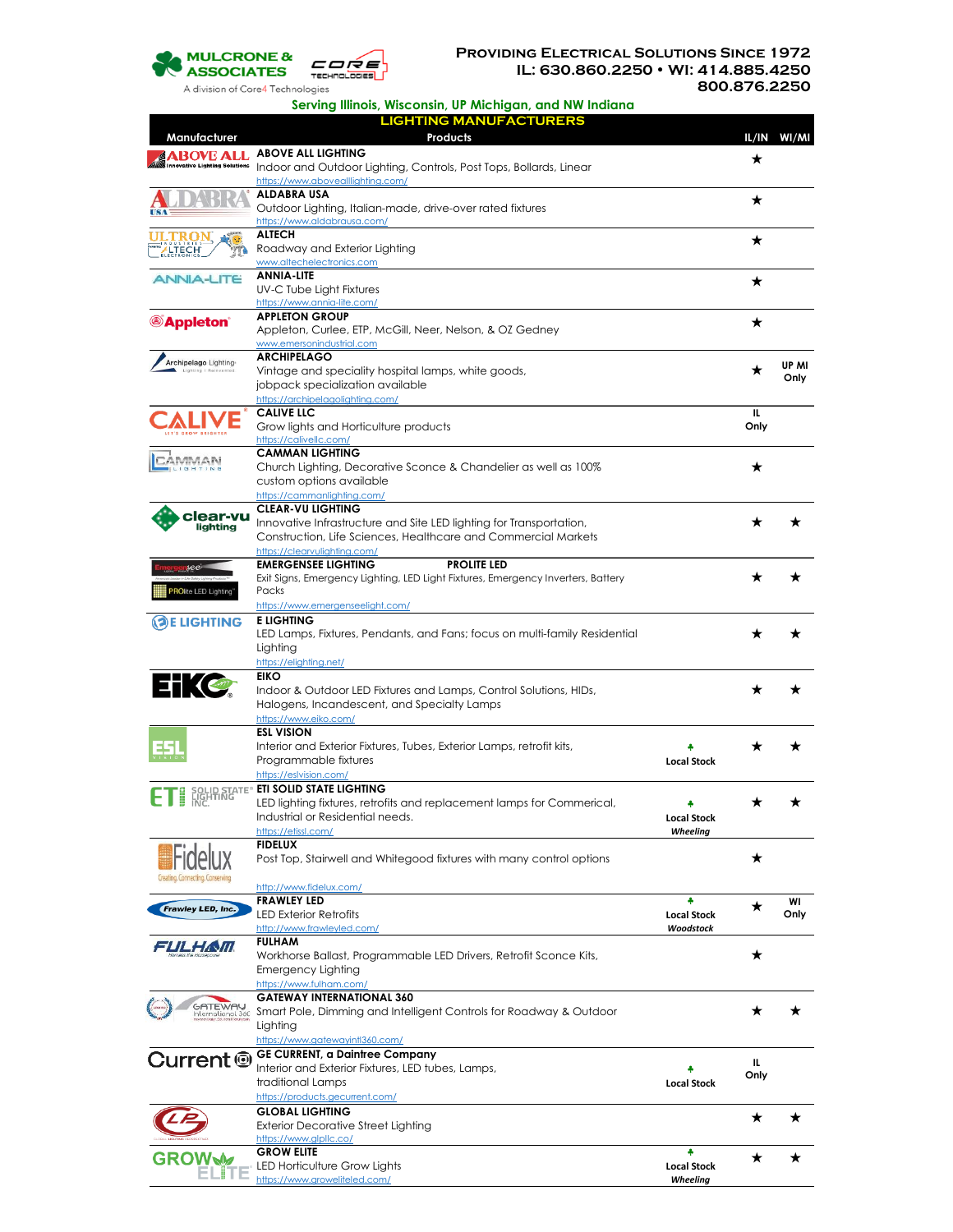

**Serving Illinois, Wisconsin, UP Michigan, and NW Indiana**

|                                               | <b>LIGHTING MANUFACTURERS</b>                                                                                                        |                    |             |             |
|-----------------------------------------------|--------------------------------------------------------------------------------------------------------------------------------------|--------------------|-------------|-------------|
| Manufacturer<br>ABOVE ALL                     | <b>Products</b><br><b>ABOVE ALL LIGHTING</b>                                                                                         |                    |             | IL/IN WI/MI |
| nnovative Lighting Solutions                  | Indoor and Outdoor Lighting, Controls, Post Tops, Bollards, Linear                                                                   |                    | ★           |             |
|                                               | https://www.abovealllighting.com/<br><b>ALDABRA USA</b>                                                                              |                    |             |             |
|                                               | Outdoor Lighting, Italian-made, drive-over rated fixtures                                                                            |                    | ★           |             |
| $_{\rm \tiny SN}$                             | https://www.aldabrausa.com/<br><b>ALTECH</b>                                                                                         |                    |             |             |
| TECH                                          | Roadway and Exterior Lighting                                                                                                        |                    | ★           |             |
|                                               | www.altechelectronics.com<br><b>ANNIA-LITE</b>                                                                                       |                    |             |             |
| <b>JNIA-LITE</b>                              | <b>UV-C Tube Light Fixtures</b>                                                                                                      |                    | ★           |             |
|                                               | https://www.annia-lite.com/                                                                                                          |                    |             |             |
| <b>Appleton</b> ®                             | <b>APPLETON GROUP</b><br>Appleton, Curlee, ETP, McGill, Neer, Nelson, & OZ Gedney                                                    |                    | ★           |             |
|                                               | www.emersonindustrial.com                                                                                                            |                    |             |             |
| Archipelago Lighting<br>Lighting   Reinvented | <b>ARCHIPELAGO</b><br>Vintage and speciality hospital lamps, white goods,                                                            |                    | ★           | UP MI       |
|                                               | jobpack specialization available                                                                                                     |                    |             | Only        |
|                                               | https://archipelagolighting.com/                                                                                                     |                    |             |             |
|                                               | <b>CALIVE LLC</b><br>Grow lights and Horticulture products                                                                           |                    | IL.<br>Only |             |
|                                               | https://calivellc.com/                                                                                                               |                    |             |             |
| MMAN                                          | <b>CAMMAN LIGHTING</b>                                                                                                               |                    | ★           |             |
|                                               | Church Lighting, Decorative Sconce & Chandelier as well as 100%<br>custom options available                                          |                    |             |             |
|                                               | https://cammanlighting.com/                                                                                                          |                    |             |             |
| clear-vu                                      | <b>CLEAR-VU LIGHTING</b><br>Innovative Infrastructure and Site LED lighting for Transportation,                                      |                    |             |             |
| liahtina                                      | Construction, Life Sciences, Healthcare and Commercial Markets                                                                       |                    |             |             |
|                                               | https://clearvulighting.com/                                                                                                         |                    |             |             |
| rsee                                          | <b>EMERGENSEE LIGHTING</b><br><b>PROLITE LED</b><br>Exit Signs, Emergency Lighting, LED Light Fixtures, Emergency Inverters, Battery |                    |             |             |
| <b>ROlite LED Lighting</b>                    | Packs                                                                                                                                |                    |             |             |
|                                               | https://www.emergenseelight.com/                                                                                                     |                    |             |             |
| (၁)E LIGHTING                                 | <b>E LIGHTING</b><br>LED Lamps, Fixtures, Pendants, and Fans; focus on multi-family Residential                                      |                    |             |             |
|                                               | Lighting                                                                                                                             |                    |             |             |
|                                               | https://elighting.net/<br><b>EIKO</b>                                                                                                |                    |             |             |
| $\pm$ $\sim$                                  | Indoor & Outdoor LED Fixtures and Lamps, Control Solutions, HIDs,                                                                    |                    |             |             |
|                                               | Halogens, Incandescent, and Specialty Lamps                                                                                          |                    |             |             |
|                                               | https://www.eiko.com/<br><b>ESL VISION</b>                                                                                           |                    |             |             |
|                                               | Interior and Exterior Fixtures, Tubes, Exterior Lamps, retrofit kits,                                                                |                    |             |             |
|                                               | Programmable fixtures                                                                                                                | <b>Local Stock</b> |             |             |
|                                               | https://eslvision.com/<br><b>EN SOLID STATE<sup>®</sup> ETI SOLID STATE LIGHTING</b>                                                 |                    |             |             |
|                                               | LED lighting fixtures, retrofits and replacement lamps for Commerical,                                                               |                    |             |             |
|                                               | Industrial or Residential needs.                                                                                                     | <b>Local Stock</b> |             |             |
|                                               | https://etissl.com/<br><b>FIDELUX</b>                                                                                                | Wheeling           |             |             |
|                                               | Post Top, Stairwell and Whitegood fixtures with many control options                                                                 |                    | ★           |             |
| Frawley LED, Inc.                             | http://www.fidelux.com/                                                                                                              |                    |             |             |
|                                               | <b>FRAWLEY LED</b>                                                                                                                   | ه                  | ★           | WI          |
|                                               | <b>LED Exterior Retrofits</b>                                                                                                        | <b>Local Stock</b> |             | Only        |
| FUL HAVII.                                    | http://www.frawleyled.com/<br><b>FULHAM</b>                                                                                          | Woodstock          |             |             |
|                                               | Workhorse Ballast, Programmable LED Drivers, Retrofit Sconce Kits,                                                                   |                    | ★           |             |
|                                               | Emergency Lighting<br>https://www.fulham.com/                                                                                        |                    |             |             |
|                                               | <b>GATEWAY INTERNATIONAL 360</b>                                                                                                     |                    |             |             |
| GATEWA<br>nternational 360                    | Smart Pole, Dimming and Intelligent Controls for Roadway & Outdoor                                                                   |                    |             |             |
|                                               | Lighting<br>https://www.gatewayintl360.com/                                                                                          |                    |             |             |
|                                               | <b>GE CURRENT, a Daintree Company</b>                                                                                                |                    |             |             |
|                                               | Interior and Exterior Fixtures, LED tubes, Lamps,                                                                                    |                    | IL.<br>Only |             |
|                                               | traditional Lamps<br>https://products.gecurrent.com/                                                                                 | <b>Local Stock</b> |             |             |
|                                               | <b>GLOBAL LIGHTING</b>                                                                                                               |                    | ★           | ★           |
|                                               | <b>Exterior Decorative Street Lighting</b>                                                                                           |                    |             |             |
|                                               | https://www.glpllc.co/<br><b>GROW ELITE</b>                                                                                          |                    |             |             |
| <b>GROW.</b>                                  | LED Horticulture Grow Lights                                                                                                         | <b>Local Stock</b> |             |             |
|                                               | https://www.groweliteled.com/                                                                                                        | Wheeling           |             |             |